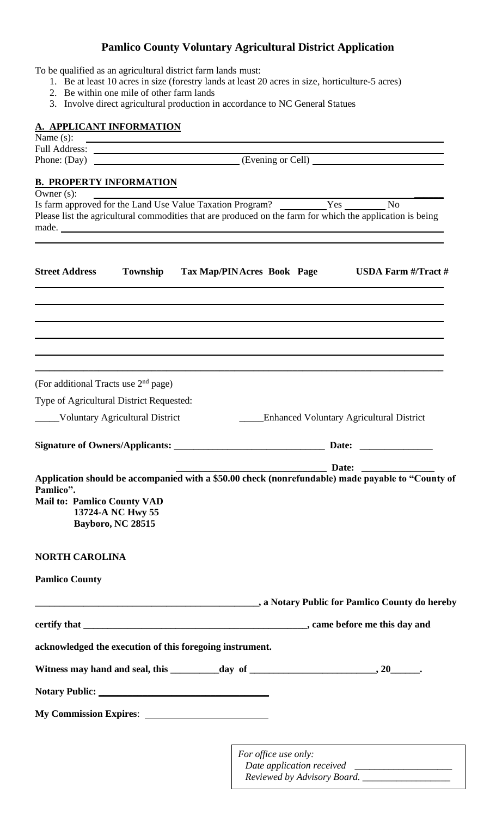## **Pamlico County Voluntary Agricultural District Application**

To be qualified as an agricultural district farm lands must:

- 1. Be at least 10 acres in size (forestry lands at least 20 acres in size, horticulture-5 acres)
- 2. Be within one mile of other farm lands
- 3. Involve direct agricultural production in accordance to NC General Statues

## **A. APPLICANT INFORMATION**

| <b>A. APPLICANT INFORMATION</b>                                                      |                                                                                                                                                                                                                                      |  |                      |  |                                                                                                                                                                                                                               |  |  |  |
|--------------------------------------------------------------------------------------|--------------------------------------------------------------------------------------------------------------------------------------------------------------------------------------------------------------------------------------|--|----------------------|--|-------------------------------------------------------------------------------------------------------------------------------------------------------------------------------------------------------------------------------|--|--|--|
| Name (s):                                                                            | <u> 1990 - Johann Harry Harry Harry Harry Harry Harry Harry Harry Harry Harry Harry Harry Harry Harry Harry Harry Harry Harry Harry Harry Harry Harry Harry Harry Harry Harry Harry Harry Harry Harry Harry Harry Harry Harry Ha</u> |  |                      |  |                                                                                                                                                                                                                               |  |  |  |
| Phone: (Day)                                                                         | Evening or Cell)                                                                                                                                                                                                                     |  |                      |  |                                                                                                                                                                                                                               |  |  |  |
| <b>B. PROPERTY INFORMATION</b>                                                       |                                                                                                                                                                                                                                      |  |                      |  |                                                                                                                                                                                                                               |  |  |  |
| Owner $(s)$ :                                                                        |                                                                                                                                                                                                                                      |  |                      |  |                                                                                                                                                                                                                               |  |  |  |
| Is farm approved for the Land Use Value Taxation Program? __________Yes _________ No |                                                                                                                                                                                                                                      |  |                      |  |                                                                                                                                                                                                                               |  |  |  |
|                                                                                      |                                                                                                                                                                                                                                      |  |                      |  | Please list the agricultural commodities that are produced on the farm for which the application is being                                                                                                                     |  |  |  |
|                                                                                      |                                                                                                                                                                                                                                      |  |                      |  |                                                                                                                                                                                                                               |  |  |  |
|                                                                                      |                                                                                                                                                                                                                                      |  |                      |  |                                                                                                                                                                                                                               |  |  |  |
| <b>Street Address</b>                                                                |                                                                                                                                                                                                                                      |  |                      |  | Township Tax Map/PINAcres Book Page USDA Farm #/Tract #                                                                                                                                                                       |  |  |  |
|                                                                                      |                                                                                                                                                                                                                                      |  |                      |  |                                                                                                                                                                                                                               |  |  |  |
|                                                                                      |                                                                                                                                                                                                                                      |  |                      |  |                                                                                                                                                                                                                               |  |  |  |
|                                                                                      |                                                                                                                                                                                                                                      |  |                      |  |                                                                                                                                                                                                                               |  |  |  |
|                                                                                      |                                                                                                                                                                                                                                      |  |                      |  |                                                                                                                                                                                                                               |  |  |  |
|                                                                                      |                                                                                                                                                                                                                                      |  |                      |  |                                                                                                                                                                                                                               |  |  |  |
|                                                                                      |                                                                                                                                                                                                                                      |  |                      |  |                                                                                                                                                                                                                               |  |  |  |
|                                                                                      |                                                                                                                                                                                                                                      |  |                      |  |                                                                                                                                                                                                                               |  |  |  |
| (For additional Tracts use 2 <sup>nd</sup> page)                                     |                                                                                                                                                                                                                                      |  |                      |  |                                                                                                                                                                                                                               |  |  |  |
| Type of Agricultural District Requested:                                             |                                                                                                                                                                                                                                      |  |                      |  |                                                                                                                                                                                                                               |  |  |  |
| _____Voluntary Agricultural District                                                 |                                                                                                                                                                                                                                      |  |                      |  | _____Enhanced Voluntary Agricultural District                                                                                                                                                                                 |  |  |  |
|                                                                                      |                                                                                                                                                                                                                                      |  |                      |  |                                                                                                                                                                                                                               |  |  |  |
|                                                                                      |                                                                                                                                                                                                                                      |  |                      |  |                                                                                                                                                                                                                               |  |  |  |
|                                                                                      |                                                                                                                                                                                                                                      |  |                      |  |                                                                                                                                                                                                                               |  |  |  |
|                                                                                      |                                                                                                                                                                                                                                      |  |                      |  |                                                                                                                                                                                                                               |  |  |  |
| Pamlico".                                                                            |                                                                                                                                                                                                                                      |  |                      |  | Application should be accompanied with a \$50.00 check (nonrefundable) made payable to "County of                                                                                                                             |  |  |  |
| <b>Mail to: Pamlico County VAD</b>                                                   |                                                                                                                                                                                                                                      |  |                      |  |                                                                                                                                                                                                                               |  |  |  |
|                                                                                      | 13724-A NC Hwy 55                                                                                                                                                                                                                    |  |                      |  |                                                                                                                                                                                                                               |  |  |  |
|                                                                                      | Bayboro, NC 28515                                                                                                                                                                                                                    |  |                      |  |                                                                                                                                                                                                                               |  |  |  |
|                                                                                      |                                                                                                                                                                                                                                      |  |                      |  |                                                                                                                                                                                                                               |  |  |  |
| <b>NORTH CAROLINA</b>                                                                |                                                                                                                                                                                                                                      |  |                      |  |                                                                                                                                                                                                                               |  |  |  |
|                                                                                      |                                                                                                                                                                                                                                      |  |                      |  |                                                                                                                                                                                                                               |  |  |  |
| <b>Pamlico County</b>                                                                |                                                                                                                                                                                                                                      |  |                      |  |                                                                                                                                                                                                                               |  |  |  |
|                                                                                      |                                                                                                                                                                                                                                      |  |                      |  | a Notary Public for Pamlico County do hereby (2008) and a series of the series of the series of the series of the series of the series of the series of the series of the series of the series of the series of the series of |  |  |  |
|                                                                                      |                                                                                                                                                                                                                                      |  |                      |  |                                                                                                                                                                                                                               |  |  |  |
|                                                                                      |                                                                                                                                                                                                                                      |  |                      |  |                                                                                                                                                                                                                               |  |  |  |
| acknowledged the execution of this foregoing instrument.                             |                                                                                                                                                                                                                                      |  |                      |  |                                                                                                                                                                                                                               |  |  |  |
|                                                                                      |                                                                                                                                                                                                                                      |  |                      |  |                                                                                                                                                                                                                               |  |  |  |
|                                                                                      |                                                                                                                                                                                                                                      |  |                      |  |                                                                                                                                                                                                                               |  |  |  |
|                                                                                      |                                                                                                                                                                                                                                      |  |                      |  |                                                                                                                                                                                                                               |  |  |  |
|                                                                                      |                                                                                                                                                                                                                                      |  |                      |  |                                                                                                                                                                                                                               |  |  |  |
|                                                                                      |                                                                                                                                                                                                                                      |  |                      |  |                                                                                                                                                                                                                               |  |  |  |
|                                                                                      |                                                                                                                                                                                                                                      |  |                      |  |                                                                                                                                                                                                                               |  |  |  |
|                                                                                      |                                                                                                                                                                                                                                      |  |                      |  |                                                                                                                                                                                                                               |  |  |  |
|                                                                                      |                                                                                                                                                                                                                                      |  | For office use only: |  |                                                                                                                                                                                                                               |  |  |  |
|                                                                                      |                                                                                                                                                                                                                                      |  |                      |  |                                                                                                                                                                                                                               |  |  |  |

 *Reviewed by Advisory Board. \_\_\_\_\_\_\_\_\_\_\_\_\_\_\_\_\_\_*